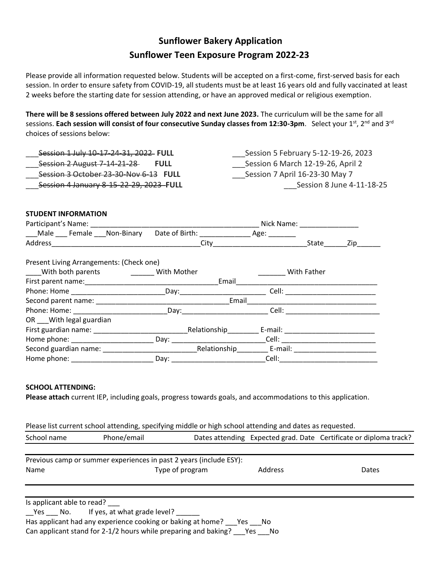# **Sunflower Bakery Application Sunflower Teen Exposure Program 2022-23**

Please provide all information requested below. Students will be accepted on a first-come, first-served basis for each session. In order to ensure safety from COVID-19, all students must be at least 16 years old and fully vaccinated at least 2 weeks before the starting date for session attending, or have an approved medical or religious exemption.

**There will be 8 sessions offered between July 2022 and next June 2023.** The curriculum will be the same for all sessions. Each session will consist of four consecutive Sunday classes from 12:30-3pm. Select your 1st, 2<sup>nd</sup> and 3<sup>rd</sup> choices of sessions below:

| Session 1 July 10 17 24 31, 2022 FULL      | Session 5 February 5-12-19-26, 2023 |
|--------------------------------------------|-------------------------------------|
| Session 2 August 7 14 21 28<br><b>FULL</b> | Session 6 March 12-19-26, April 2   |
| Session 3 October 23-30-Nov 6-13 FULL      | Session 7 April 16-23-30 May 7      |
| Session 4 January 8-15-22-29, 2023 FULL    | Session 8 June 4-11-18-25           |

# **STUDENT INFORMATION**

|                                            |                                            | Nick Name: Nick Name |                                                                                                                                                                                                                                      |     |
|--------------------------------------------|--------------------------------------------|----------------------|--------------------------------------------------------------------------------------------------------------------------------------------------------------------------------------------------------------------------------------|-----|
| Male Female Non-Binary                     | Date of Birth: National Property of Birth: | Age: $\_\_$          |                                                                                                                                                                                                                                      |     |
|                                            | City                                       |                      | State                                                                                                                                                                                                                                | Zip |
| Present Living Arrangements: (Check one)   |                                            |                      |                                                                                                                                                                                                                                      |     |
| With both parents <b>With Mother</b>       |                                            |                      | With Father                                                                                                                                                                                                                          |     |
|                                            | Email                                      |                      |                                                                                                                                                                                                                                      |     |
|                                            |                                            |                      |                                                                                                                                                                                                                                      |     |
|                                            | Email                                      |                      |                                                                                                                                                                                                                                      |     |
| Phone: Home: The Contract of Contract Day: |                                            |                      | Cell: <b>Communist Communist Communist Communist Communist Communist Communist Communist Communist Communist Communist Communist Communist Communist Communist Communist Communist Communist Communist Communist Communist Commu</b> |     |
| OR ___ With legal guardian                 |                                            |                      |                                                                                                                                                                                                                                      |     |
|                                            | Relationship E-mail: E-mail:               |                      |                                                                                                                                                                                                                                      |     |
| Home phone: <u>contract and the phone</u>  |                                            |                      |                                                                                                                                                                                                                                      |     |
|                                            |                                            |                      |                                                                                                                                                                                                                                      |     |
|                                            |                                            | Cell:                |                                                                                                                                                                                                                                      |     |

## **SCHOOL ATTENDING:**

**Please attach** current IEP, including goals, progress towards goals, and accommodations to this application.

| Please list current school attending, specifying middle or high school attending and dates as requested. |  |  |
|----------------------------------------------------------------------------------------------------------|--|--|
|----------------------------------------------------------------------------------------------------------|--|--|

| School name                | Phone/email                                                        |                 |         | Dates attending Expected grad. Date Certificate or diploma track? |
|----------------------------|--------------------------------------------------------------------|-----------------|---------|-------------------------------------------------------------------|
|                            |                                                                    |                 |         |                                                                   |
|                            | Previous camp or summer experiences in past 2 years (include ESY): |                 |         |                                                                   |
| Name                       |                                                                    | Type of program | Address | Dates                                                             |
|                            |                                                                    |                 |         |                                                                   |
|                            |                                                                    |                 |         |                                                                   |
| Is applicant able to read? |                                                                    |                 |         |                                                                   |
|                            | Yes No. If yes, at what grade level?                               |                 |         |                                                                   |
|                            | Has applicant had any experience cooking or baking at home?        | Yes             | - No    |                                                                   |

Can applicant stand for 2-1/2 hours while preparing and baking? \_\_\_Yes \_\_\_No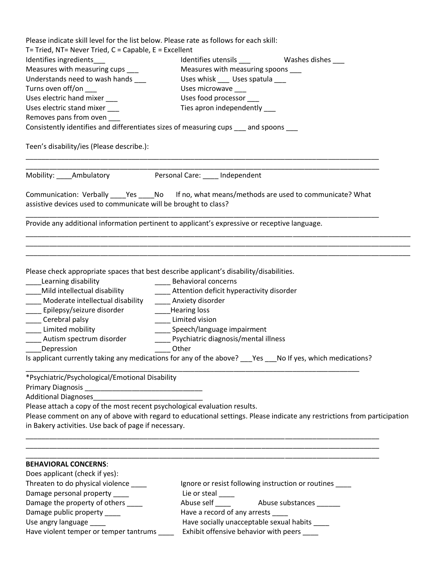| Please indicate skill level for the list below. Please rate as follows for each skill:        |                                                                                                                         |
|-----------------------------------------------------------------------------------------------|-------------------------------------------------------------------------------------------------------------------------|
| T= Tried, NT= Never Tried, C = Capable, E = Excellent                                         |                                                                                                                         |
| Identifies ingredients                                                                        | Identifies utensils ____<br>Washes dishes ____                                                                          |
| Measures with measuring cups ___                                                              | Measures with measuring spoons                                                                                          |
| Understands need to wash hands ___                                                            | Uses whisk ____ Uses spatula ___                                                                                        |
| Turns oven off/on _                                                                           | Uses microwave                                                                                                          |
| Uses electric hand mixer                                                                      | Uses food processor                                                                                                     |
| Uses electric stand mixer                                                                     | Ties apron independently                                                                                                |
| Removes pans from oven                                                                        |                                                                                                                         |
| Consistently identifies and differentiates sizes of measuring cups same spoons                |                                                                                                                         |
| Teen's disability/ies (Please describe.):                                                     |                                                                                                                         |
| Mobility: Ambulatory                                                                          | Personal Care: ____ Independent                                                                                         |
| assistive devices used to communicate will be brought to class?                               | Communication: Verbally _____Yes ______No lf no, what means/methods are used to communicate? What                       |
| Provide any additional information pertinent to applicant's expressive or receptive language. |                                                                                                                         |
|                                                                                               |                                                                                                                         |
| Please check appropriate spaces that best describe applicant's disability/disabilities.       |                                                                                                                         |
| Learning disability                                                                           | <b>Behavioral concerns</b>                                                                                              |
| Mild intellectual disability                                                                  | ____ Attention deficit hyperactivity disorder                                                                           |
| Moderate intellectual disability                                                              | _____ Anxiety disorder                                                                                                  |
| Epilepsy/seizure disorder                                                                     | Hearing loss                                                                                                            |
| Cerebral palsy                                                                                | Limited vision                                                                                                          |
| Limited mobility                                                                              | ____ Speech/language impairment                                                                                         |
| Autism spectrum disorder                                                                      | Psychiatric diagnosis/mental illness                                                                                    |
| Depression<br>___ Other                                                                       |                                                                                                                         |
|                                                                                               | Is applicant currently taking any medications for any of the above? ___Yes ___No If yes, which medications?             |
| *Psychiatric/Psychological/Emotional Disability                                               |                                                                                                                         |
|                                                                                               |                                                                                                                         |
|                                                                                               |                                                                                                                         |
| Please attach a copy of the most recent psychological evaluation results.                     |                                                                                                                         |
|                                                                                               | Please comment on any of above with regard to educational settings. Please indicate any restrictions from participation |
| in Bakery activities. Use back of page if necessary.                                          |                                                                                                                         |
|                                                                                               |                                                                                                                         |
| <b>BEHAVIORAL CONCERNS:</b>                                                                   |                                                                                                                         |
| Does applicant (check if yes):                                                                |                                                                                                                         |
| Threaten to do physical violence ____                                                         | Ignore or resist following instruction or routines ____                                                                 |
| Damage personal property ____                                                                 | Lie or steal ____                                                                                                       |
| Damage the property of others ___                                                             |                                                                                                                         |
| Damage public property _____                                                                  | Have a record of any arrests _                                                                                          |
| Use angry language ____                                                                       | Have socially unacceptable sexual habits ____                                                                           |
| Have violent temper or temper tantrums ____                                                   | Exhibit offensive behavior with peers ____                                                                              |
|                                                                                               |                                                                                                                         |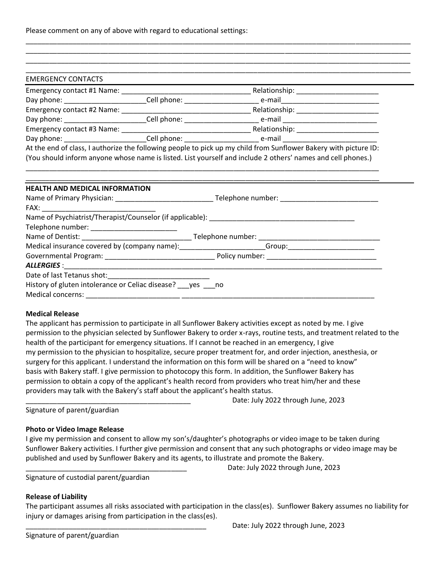Please comment on any of above with regard to educational settings:

| <b>EMERGENCY CONTACTS</b>                                                            |                                                                                                                      |
|--------------------------------------------------------------------------------------|----------------------------------------------------------------------------------------------------------------------|
|                                                                                      |                                                                                                                      |
|                                                                                      | Day phone: ____________________________Cell phone: _____________________________ e-mail_____________________________ |
|                                                                                      |                                                                                                                      |
|                                                                                      |                                                                                                                      |
|                                                                                      |                                                                                                                      |
|                                                                                      | Day phone: ____________________________Cell phone: _____________________________ e-mail ____________________________ |
|                                                                                      |                                                                                                                      |
| <b>HEALTH AND MEDICAL INFORMATION</b>                                                |                                                                                                                      |
|                                                                                      |                                                                                                                      |
|                                                                                      |                                                                                                                      |
|                                                                                      |                                                                                                                      |
|                                                                                      |                                                                                                                      |
|                                                                                      |                                                                                                                      |
|                                                                                      | Medical insurance covered by (company name): ______________________Group: _________________________                  |
|                                                                                      |                                                                                                                      |
|                                                                                      |                                                                                                                      |
|                                                                                      |                                                                                                                      |
| History of gluten intolerance or Celiac disease? ___ yes ___ no<br>Medical concerns: |                                                                                                                      |

\_\_\_\_\_\_\_\_\_\_\_\_\_\_\_\_\_\_\_\_\_\_\_\_\_\_\_\_\_\_\_\_\_\_\_\_\_\_\_\_\_\_\_\_\_\_\_\_\_\_\_\_\_\_\_\_\_\_\_\_\_\_\_\_\_\_\_\_\_\_\_\_\_\_\_\_\_\_\_\_\_\_\_\_\_\_\_\_\_\_\_\_\_\_\_\_\_\_

# **Medical Release**

The applicant has permission to participate in all Sunflower Bakery activities except as noted by me. I give permission to the physician selected by Sunflower Bakery to order x-rays, routine tests, and treatment related to the health of the participant for emergency situations. If I cannot be reached in an emergency, I give my permission to the physician to hospitalize, secure proper treatment for, and order injection, anesthesia, or surgery for this applicant. I understand the information on this form will be shared on a "need to know" basis with Bakery staff. I give permission to photocopy this form. In addition, the Sunflower Bakery has permission to obtain a copy of the applicant's health record from providers who treat him/her and these providers may talk with the Bakery's staff about the applicant's health status.

Date: July 2022 through June, 2023

Signature of parent/guardian

#### **Photo or Video Image Release**

I give my permission and consent to allow my son's/daughter's photographs or video image to be taken during Sunflower Bakery activities. I further give permission and consent that any such photographs or video image may be published and used by Sunflower Bakery and its agents, to illustrate and promote the Bakery.

Date: July 2022 through June, 2023

Signature of custodial parent/guardian

# **Release of Liability**

The participant assumes all risks associated with participation in the class(es). Sunflower Bakery assumes no liability for injury or damages arising from participation in the class(es).

Signature of parent/guardian

Date: July 2022 through June, 2023